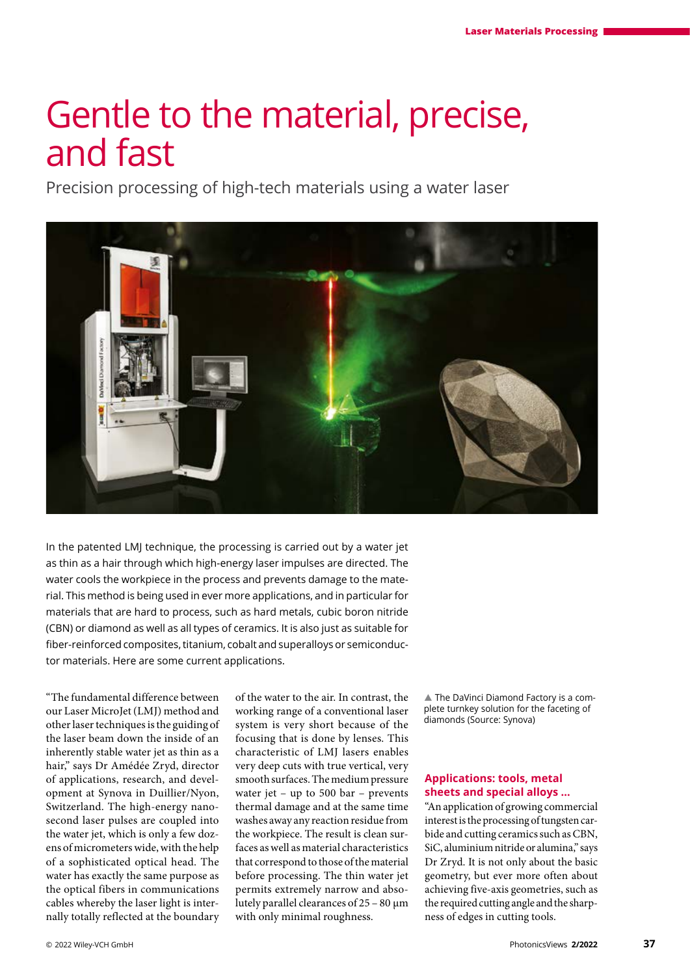# Gentle to the material, precise, and fast

Precision processing of high-tech materials using a water laser



In the patented LMJ technique, the processing is carried out by a water jet as thin as a hair through which high-energy laser impulses are directed. The water cools the workpiece in the process and prevents damage to the material. This method is being used in ever more applications, and in particular for materials that are hard to process, such as hard metals, cubic boron nitride (CBN) or diamond as well as all types of ceramics. It is also just as suitable for fiber-reinforced composites, titanium, cobalt and superalloys or semiconductor materials. Here are some current applications.

"The fundamental difference between our Laser MicroJet (LMJ) method and other laser techniques is the guiding of the laser beam down the inside of an inherently stable water jet as thin as a hair," says Dr Amédée Zryd, director of applications, research, and development at Synova in Duillier/Nyon, Switzerland. The high-energy nanosecond laser pulses are coupled into the water jet, which is only a few dozens of micrometers wide, with the help of a sophisticated optical head. The water has exactly the same purpose as the optical fibers in communications cables whereby the laser light is internally totally reflected at the boundary of the water to the air. In contrast, the working range of a conventional laser system is very short because of the focusing that is done by lenses. This characteristic of LMJ lasers enables very deep cuts with true vertical, very smooth surfaces. The medium pressure water jet – up to 500 bar – prevents thermal damage and at the same time washes away any reaction residue from the workpiece. The result is clean surfaces as well as material characteristics that correspond to those of the material before processing. The thin water jet permits extremely narrow and absolutely parallel clearances of 25 – 80 µm with only minimal roughness.

▲ The DaVinci Diamond Factory is a complete turnkey solution for the faceting of diamonds (Source: Synova)

# **Applications: tools, metal sheets and special alloys …**

"An application of growing commercial interest is the processing of tungsten carbide and cutting ceramics such as CBN, SiC, aluminium nitride or alumina," says Dr Zryd. It is not only about the basic geometry, but ever more often about achieving five-axis geometries, such as the required cutting angle and the sharpness of edges in cutting tools.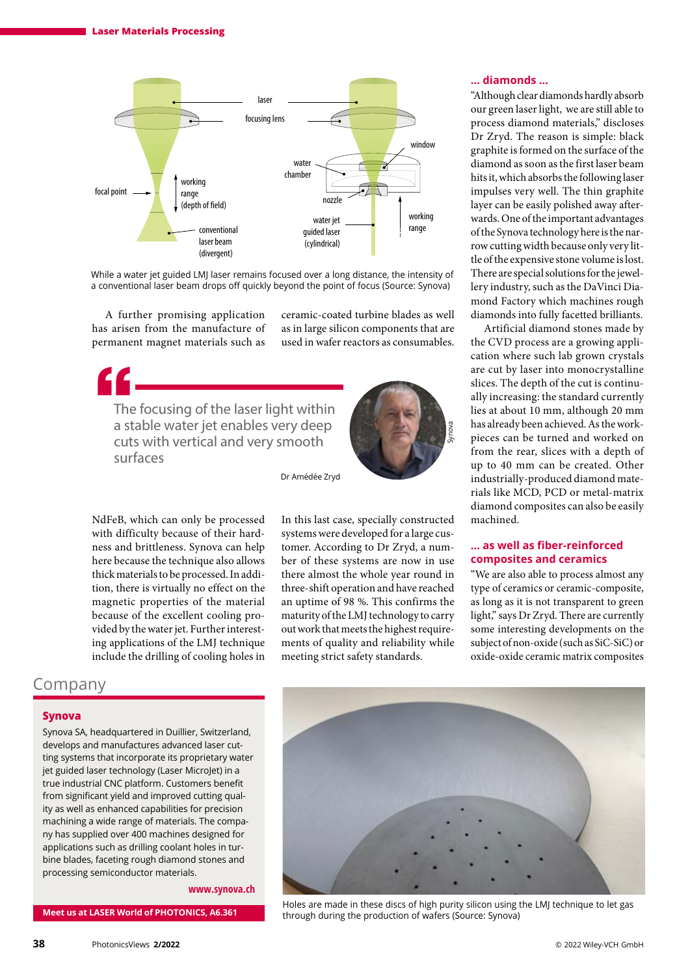

While a water jet guided LMJ laser remains focused over a long distance, the intensity of a conventional laser beam drops off quickly beyond the point of focus (Source: Synova)

A further promising application has arisen from the manufacture of permanent magnet materials such as ceramic-coated turbine blades as well as in large silicon components that are used in wafer reactors as consumables.

The focusing of the laser light within a stable water jet enables very deep cuts with vertical and very smooth surfaces E<br>The<br>ast



Dr Amédée Zryd

NdFeB, which can only be processed with difficulty because of their hardness and brittleness. Synova can help here because the technique also allows thick materials to be processed. In addition, there is virtually no effect on the magnetic properties of the material because of the excellent cooling provided by the water jet. Further interesting applications of the LMJ technique include the drilling of cooling holes in

# Company

#### **Synova**

Synova SA, headquartered in Duillier, Switzerland, develops and manufactures advanced laser cutting systems that incorporate its proprietary water jet guided laser technology (Laser MicroJet) in a true industrial CNC platform. Customers benefit from significant yield and improved cutting quality as well as enhanced capabilities for precision machining a wide range of materials. The company has supplied over 400 machines designed for applications such as drilling coolant holes in turbine blades, faceting rough diamond stones and processing semiconductor materials.

#### **[www.synova.ch](http://www.synova.ch)**

**Meet us at LASER World of PHOTONICS, A6.361** 

In this last case, specially constructed systems were developed for a large customer. According to Dr Zryd, a number of these systems are now in use there almost the whole year round in three-shift operation and have reached an uptime of 98 %. This confirms the maturity of the LMJ technology to carry out work that meets the highest requirements of quality and reliability while meeting strict safety standards.

#### **… diamonds …**

"Although clear diamonds hardly absorb our green laser light, we are still able to process diamond materials," discloses Dr Zryd. The reason is simple: black graphite is formed on the surface of the diamond as soon as the first laser beam hits it, which absorbs the following laser impulses very well. The thin graphite layer can be easily polished away afterwards. One of the important advantages of the Synova technology here is the narrow cutting width because only very little of the expensive stone volume is lost. There are special solutions for the jewellery industry, such as the DaVinci Diamond Factory which machines rough diamonds into fully facetted brilliants.

Artificial diamond stones made by the CVD process are a growing application where such lab grown crystals are cut by laser into monocrystalline slices. The depth of the cut is continually increasing: the standard currently lies at about 10 mm, although 20 mm has already been achieved. As the workpieces can be turned and worked on from the rear, slices with a depth of up to 40 mm can be created. Other industrially-produced diamond materials like MCD, PCD or metal-matrix diamond composites can also be easily machined.

## **… as well as fiber-reinforced composites and ceramics**

"We are also able to process almost any type of ceramics or ceramic-composite, as long as it is not transparent to green light," says Dr Zryd. There are currently some interesting developments on the subject of non-oxide (such as SiC-SiC) or oxide-oxide ceramic matrix composites



Holes are made in these discs of high purity silicon using the LMJ technique to let gas through during the production of wafers (Source: Synova)